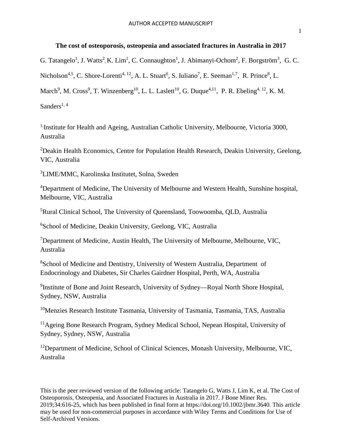# **The cost of osteoporosis, osteopenia and associated fractures in Australia in 2017**

G. Tatangelo<sup>1</sup>, J. Watts<sup>2</sup>, K. Lim<sup>1</sup>, C. Connaughton<sup>1</sup>, J. Abimanyi-Ochom<sup>2</sup>, F. Borgström<sup>3</sup>, G. C.

Nicholson<sup>4,5</sup>, C. Shore-Lorenti<sup>4, 12</sup>, A. L. Stuart<sup>6</sup>, S. Iuliano<sup>7</sup>, E. Seeman<sup>1,7</sup>, R. Prince<sup>8</sup>, L.

March<sup>9</sup>, M. Cross<sup>9</sup>, T. Winzenberg<sup>10</sup>, L. L. Laslett<sup>10</sup>, G. Duque<sup>4,11</sup>, P. R. Ebeling<sup>4, 12</sup>, K. M.

Sanders<sup>1, 4</sup>

<sup>1</sup>.Institute for Health and Ageing, Australian Catholic University, Melbourne, Victoria 3000, Australia

<sup>2</sup>Deakin Health Economics, Centre for Population Health Research, Deakin University, Geelong, VIC, Australia

3 LIME/MMC, Karolinska Institutet, Solna, Sweden

<sup>4</sup>Department of Medicine, The University of Melbourne and Western Health, Sunshine hospital, Melbourne, VIC, Australia

5 Rural Clinical School, The University of Queensland, Toowoomba, QLD, Australia

6 School of Medicine, Deakin University, Geelong, VIC, Australia

<sup>7</sup>Department of Medicine, Austin Health, The University of Melbourne, Melbourne, VIC, Australia

<sup>8</sup>School of Medicine and Dentistry, University of Western Australia, Department of Endocrinology and Diabetes, Sir Charles Gairdner Hospital, Perth, WA, Australia

<sup>9</sup>Institute of Bone and Joint Research, University of Sydney—Royal North Shore Hospital, Sydney, NSW, Australia

<sup>10</sup>Menzies Research Institute Tasmania, University of Tasmania, Tasmania, TAS, Australia

<sup>11</sup> Ageing Bone Research Program, Sydney Medical School, Nepean Hospital, University of Sydney, Sydney, NSW, Australia

 $12$ Department of Medicine, School of Clinical Sciences, Monash University, Melbourne, VIC, Australia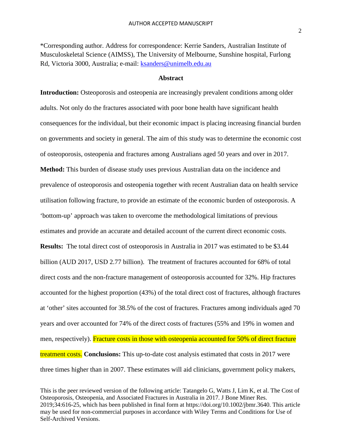\*Corresponding author. Address for correspondence: Kerrie Sanders, Australian Institute of Musculoskeletal Science (AIMSS), The University of Melbourne, Sunshine hospital, Furlong Rd, Victoria 3000, Australia; e-mail: [ksanders@unimelb.edu.au](mailto:ksanders@unimelb.edu.au)

#### **Abstract**

**Introduction:** Osteoporosis and osteopenia are increasingly prevalent conditions among older adults. Not only do the fractures associated with poor bone health have significant health consequences for the individual, but their economic impact is placing increasing financial burden on governments and society in general. The aim of this study was to determine the economic cost of osteoporosis, osteopenia and fractures among Australians aged 50 years and over in 2017. **Method:** This burden of disease study uses previous Australian data on the incidence and prevalence of osteoporosis and osteopenia together with recent Australian data on health service utilisation following fracture, to provide an estimate of the economic burden of osteoporosis. A 'bottom-up' approach was taken to overcome the methodological limitations of previous estimates and provide an accurate and detailed account of the current direct economic costs. **Results:** The total direct cost of osteoporosis in Australia in 2017 was estimated to be \$3.44 billion (AUD 2017, USD 2.77 billion). The treatment of fractures accounted for 68% of total direct costs and the non-fracture management of osteoporosis accounted for 32%. Hip fractures accounted for the highest proportion (43%) of the total direct cost of fractures, although fractures at 'other' sites accounted for 38.5% of the cost of fractures. Fractures among individuals aged 70 years and over accounted for 74% of the direct costs of fractures (55% and 19% in women and men, respectively). Fracture costs in those with osteopenia accounted for 50% of direct fracture treatment costs. **Conclusions:** This up-to-date cost analysis estimated that costs in 2017 were three times higher than in 2007. These estimates will aid clinicians, government policy makers,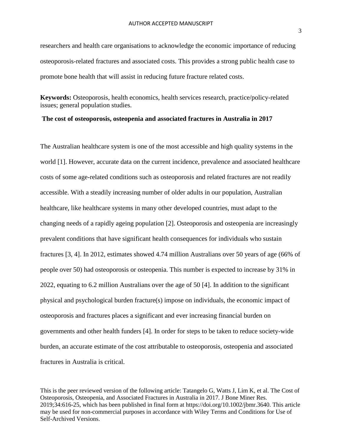researchers and health care organisations to acknowledge the economic importance of reducing osteoporosis-related fractures and associated costs. This provides a strong public health case to promote bone health that will assist in reducing future fracture related costs.

**Keywords:** Osteoporosis, health economics, health services research, practice/policy-related issues; general population studies.

# **The cost of osteoporosis, osteopenia and associated fractures in Australia in 2017**

The Australian healthcare system is one of the most accessible and high quality systems in the world [1]. However, accurate data on the current incidence, prevalence and associated healthcare costs of some age-related conditions such as osteoporosis and related fractures are not readily accessible. With a steadily increasing number of older adults in our population, Australian healthcare, like healthcare systems in many other developed countries, must adapt to the changing needs of a rapidly ageing population [2]. Osteoporosis and osteopenia are increasingly prevalent conditions that have significant health consequences for individuals who sustain fractures [3, 4]. In 2012, estimates showed 4.74 million Australians over 50 years of age (66% of people over 50) had osteoporosis or osteopenia. This number is expected to increase by 31% in 2022, equating to 6.2 million Australians over the age of 50 [4]. In addition to the significant physical and psychological burden fracture(s) impose on individuals, the economic impact of osteoporosis and fractures places a significant and ever increasing financial burden on governments and other health funders [4]. In order for steps to be taken to reduce society-wide burden, an accurate estimate of the cost attributable to osteoporosis, osteopenia and associated fractures in Australia is critical.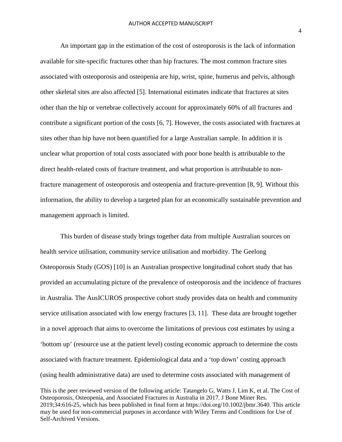An important gap in the estimation of the cost of osteoporosis is the lack of information available for site-specific fractures other than hip fractures. The most common fracture sites associated with osteoporosis and osteopenia are hip, wrist, spine, humerus and pelvis, although other skeletal sites are also affected [5]. International estimates indicate that fractures at sites other than the hip or vertebrae collectively account for approximately 60% of all fractures and contribute a significant portion of the costs [6, 7]. However, the costs associated with fractures at sites other than hip have not been quantified for a large Australian sample. In addition it is unclear what proportion of total costs associated with poor bone health is attributable to the direct health-related costs of fracture treatment, and what proportion is attributable to nonfracture management of osteoporosis and osteopenia and fracture-prevention [8, 9]. Without this information, the ability to develop a targeted plan for an economically sustainable prevention and management approach is limited.

This burden of disease study brings together data from multiple Australian sources on health service utilisation, community service utilisation and morbidity. The Geelong Osteoporosis Study (GOS) [10] is an Australian prospective longitudinal cohort study that has provided an accumulating picture of the prevalence of osteoporosis and the incidence of fractures in Australia. The AusICUROS prospective cohort study provides data on health and community service utilisation associated with low energy fractures [3, 11]. These data are brought together in a novel approach that aims to overcome the limitations of previous cost estimates by using a 'bottom up' (resource use at the patient level) costing economic approach to determine the costs associated with fracture treatment. Epidemiological data and a 'top down' costing approach (using health administrative data) are used to determine costs associated with management of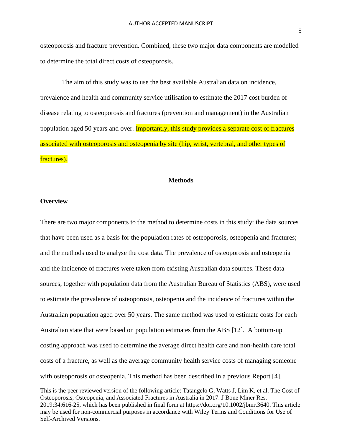osteoporosis and fracture prevention. Combined, these two major data components are modelled to determine the total direct costs of osteoporosis.

The aim of this study was to use the best available Australian data on incidence, prevalence and health and community service utilisation to estimate the 2017 cost burden of disease relating to osteoporosis and fractures (prevention and management) in the Australian population aged 50 years and over. Importantly, this study provides a separate cost of fractures associated with osteoporosis and osteopenia by site (hip, wrist, vertebral, and other types of fractures).

#### **Methods**

#### **Overview**

There are two major components to the method to determine costs in this study: the data sources that have been used as a basis for the population rates of osteoporosis, osteopenia and fractures; and the methods used to analyse the cost data. The prevalence of osteoporosis and osteopenia and the incidence of fractures were taken from existing Australian data sources. These data sources, together with population data from the Australian Bureau of Statistics (ABS), were used to estimate the prevalence of osteoporosis, osteopenia and the incidence of fractures within the Australian population aged over 50 years. The same method was used to estimate costs for each Australian state that were based on population estimates from the ABS [12]. A bottom-up costing approach was used to determine the average direct health care and non-health care total costs of a fracture, as well as the average community health service costs of managing someone with osteoporosis or osteopenia. This method has been described in a previous Report [4].

This is the peer reviewed version of the following article: Tatangelo G, Watts J, Lim K, et al. The Cost of Osteoporosis, Osteopenia, and Associated Fractures in Australia in 2017. J Bone Miner Res. 2019;34:616-25, which has been published in final form at https://doi.org/10.1002/jbmr.3640. This article may be used for non-commercial purposes in accordance with Wiley Terms and Conditions for Use of Self-Archived Versions.

5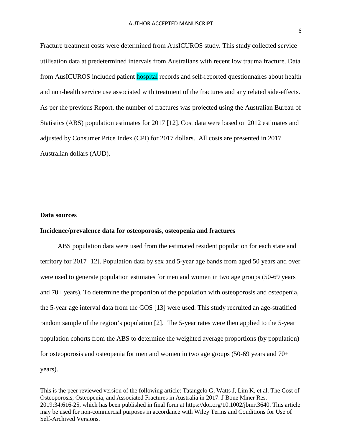Fracture treatment costs were determined from AusICUROS study. This study collected service utilisation data at predetermined intervals from Australians with recent low trauma fracture. Data from AusICUROS included patient hospital records and self-reported questionnaires about health and non-health service use associated with treatment of the fractures and any related side-effects. As per the previous Report, the number of fractures was projected using the Australian Bureau of Statistics (ABS) population estimates for 2017 [12]. Cost data were based on 2012 estimates and adjusted by Consumer Price Index (CPI) for 2017 dollars. All costs are presented in 2017 Australian dollars (AUD).

#### **Data sources**

#### **Incidence/prevalence data for osteoporosis, osteopenia and fractures**

ABS population data were used from the estimated resident population for each state and territory for 2017 [12]. Population data by sex and 5-year age bands from aged 50 years and over were used to generate population estimates for men and women in two age groups (50-69 years and 70+ years). To determine the proportion of the population with osteoporosis and osteopenia, the 5-year age interval data from the GOS [13] were used. This study recruited an age-stratified random sample of the region's population [2]. The 5-year rates were then applied to the 5-year population cohorts from the ABS to determine the weighted average proportions (by population) for osteoporosis and osteopenia for men and women in two age groups (50-69 years and 70+ years).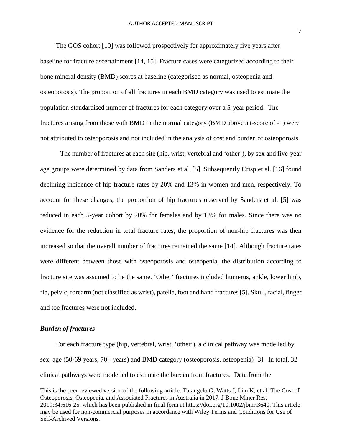The GOS cohort [10] was followed prospectively for approximately five years after baseline for fracture ascertainment [14, 15]. Fracture cases were categorized according to their bone mineral density (BMD) scores at baseline (categorised as normal, osteopenia and osteoporosis). The proportion of all fractures in each BMD category was used to estimate the population-standardised number of fractures for each category over a 5-year period. The fractures arising from those with BMD in the normal category (BMD above a t-score of -1) were not attributed to osteoporosis and not included in the analysis of cost and burden of osteoporosis.

The number of fractures at each site (hip, wrist, vertebral and 'other'), by sex and five-year age groups were determined by data from Sanders et al. [5]. Subsequently Crisp et al. [16] found declining incidence of hip fracture rates by 20% and 13% in women and men, respectively. To account for these changes, the proportion of hip fractures observed by Sanders et al. [5] was reduced in each 5-year cohort by 20% for females and by 13% for males. Since there was no evidence for the reduction in total fracture rates, the proportion of non-hip fractures was then increased so that the overall number of fractures remained the same [14]. Although fracture rates were different between those with osteoporosis and osteopenia, the distribution according to fracture site was assumed to be the same. 'Other' fractures included humerus, ankle, lower limb, rib, pelvic, forearm (not classified as wrist), patella, foot and hand fractures [5]. Skull, facial, finger and toe fractures were not included.

#### *Burden of fractures*

For each fracture type (hip, vertebral, wrist, 'other'), a clinical pathway was modelled by sex, age (50-69 years, 70+ years) and BMD category (osteoporosis, osteopenia) [3]. In total, 32 clinical pathways were modelled to estimate the burden from fractures. Data from the

This is the peer reviewed version of the following article: Tatangelo G, Watts J, Lim K, et al. The Cost of Osteoporosis, Osteopenia, and Associated Fractures in Australia in 2017. J Bone Miner Res. 2019;34:616-25, which has been published in final form at https://doi.org/10.1002/jbmr.3640. This article may be used for non-commercial purposes in accordance with Wiley Terms and Conditions for Use of Self-Archived Versions.

7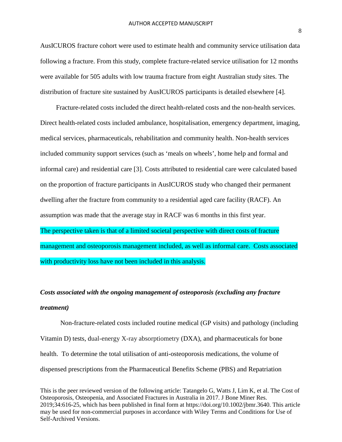AusICUROS fracture cohort were used to estimate health and community service utilisation data following a fracture. From this study, complete fracture-related service utilisation for 12 months were available for 505 adults with low trauma fracture from eight Australian study sites. The distribution of fracture site sustained by AusICUROS participants is detailed elsewhere [4].

Fracture-related costs included the direct health-related costs and the non-health services. Direct health-related costs included ambulance, hospitalisation, emergency department, imaging, medical services, pharmaceuticals, rehabilitation and community health. Non-health services included community support services (such as 'meals on wheels', home help and formal and informal care) and residential care [3]. Costs attributed to residential care were calculated based on the proportion of fracture participants in AusICUROS study who changed their permanent dwelling after the fracture from community to a residential aged care facility (RACF). An assumption was made that the average stay in RACF was 6 months in this first year. The perspective taken is that of a limited societal perspective with direct costs of fracture management and osteoporosis management included, as well as informal care. Costs associated with productivity loss have not been included in this analysis.

# *Costs associated with the ongoing management of osteoporosis (excluding any fracture treatment)*

Non-fracture-related costs included routine medical (GP visits) and pathology (including Vitamin D) tests, dual-energy X-ray absorptiometry (DXA), and pharmaceuticals for bone health. To determine the total utilisation of anti-osteoporosis medications, the volume of dispensed prescriptions from the Pharmaceutical Benefits Scheme (PBS) and Repatriation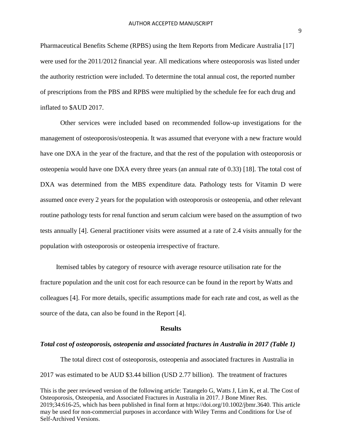Pharmaceutical Benefits Scheme (RPBS) using the Item Reports from Medicare Australia [17] were used for the 2011/2012 financial year. All medications where osteoporosis was listed under the authority restriction were included. To determine the total annual cost, the reported number of prescriptions from the PBS and RPBS were multiplied by the schedule fee for each drug and inflated to \$AUD 2017.

Other services were included based on recommended follow-up investigations for the management of osteoporosis/osteopenia. It was assumed that everyone with a new fracture would have one DXA in the year of the fracture, and that the rest of the population with osteoporosis or osteopenia would have one DXA every three years (an annual rate of 0.33) [18]. The total cost of DXA was determined from the MBS expenditure data. Pathology tests for Vitamin D were assumed once every 2 years for the population with osteoporosis or osteopenia, and other relevant routine pathology tests for renal function and serum calcium were based on the assumption of two tests annually [4]. General practitioner visits were assumed at a rate of 2.4 visits annually for the population with osteoporosis or osteopenia irrespective of fracture.

Itemised tables by category of resource with average resource utilisation rate for the fracture population and the unit cost for each resource can be found in the report by Watts and colleagues [4]. For more details, specific assumptions made for each rate and cost, as well as the source of the data, can also be found in the Report [4].

#### **Results**

#### *Total cost of osteoporosis, osteopenia and associated fractures in Australia in 2017 (Table 1)*

The total direct cost of osteoporosis, osteopenia and associated fractures in Australia in 2017 was estimated to be AUD \$3.44 billion (USD 2.77 billion). The treatment of fractures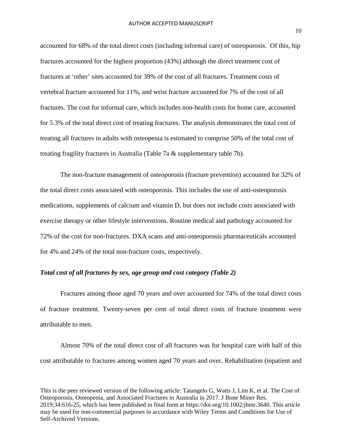accounted for 68% of the total direct costs (including informal care) of osteoporosis. Of this, hip fractures accounted for the highest proportion (43%) although the direct treatment cost of fractures at 'other' sites accounted for 39% of the cost of all fractures. Treatment costs of vertebral fracture accounted for 11%, and wrist fracture accounted for 7% of the cost of all fractures. The cost for informal care, which includes non-health costs for home care, accounted for 5.3% of the total direct cost of treating fractures. The analysis demonstrates the total cost of treating all fractures in adults with osteopenia is estimated to comprise 50% of the total cost of treating fragility fractures in Australia (Table 7a & supplementary table 7b).

The non-fracture management of osteoporosis (fracture prevention) accounted for 32% of the total direct costs associated with osteoporosis. This includes the use of anti-osteoporosis medications, supplements of calcium and vitamin D, but does not include costs associated with exercise therapy or other lifestyle interventions. Routine medical and pathology accounted for 72% of the cost for non-fractures. DXA scans and anti-osteoporosis pharmaceuticals accounted for 4% and 24% of the total non-fracture costs, respectively.

# *Total cost of all fractures by sex, age group and cost category (Table 2)*

Fractures among those aged 70 years and over accounted for 74% of the total direct costs of fracture treatment. Twenty-seven per cent of total direct costs of fracture treatment were attributable to men.

Almost 70% of the total direct cost of all fractures was for hospital care with half of this cost attributable to fractures among women aged 70 years and over. Rehabilitation (inpatient and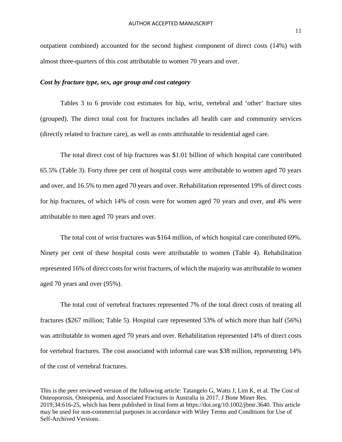outpatient combined) accounted for the second highest component of direct costs (14%) with almost three-quarters of this cost attributable to women 70 years and over.

#### *Cost by fracture type, sex, age group and cost category*

Tables 3 to 6 provide cost estimates for hip, wrist, vertebral and 'other' fracture sites (grouped). The direct total cost for fractures includes all health care and community services (directly related to fracture care), as well as costs attributable to residential aged care.

The total direct cost of hip fractures was \$1.01 billion of which hospital care contributed 65.5% (Table 3). Forty three per cent of hospital costs were attributable to women aged 70 years and over, and 16.5% to men aged 70 years and over. Rehabilitation represented 19% of direct costs for hip fractures, of which 14% of costs were for women aged 70 years and over, and 4% were attributable to men aged 70 years and over.

The total cost of wrist fractures was \$164 million, of which hospital care contributed 69%. Ninety per cent of these hospital costs were attributable to women (Table 4). Rehabilitation represented 16% of direct costs for wrist fractures, of which the majority was attributable to women aged 70 years and over (95%).

The total cost of vertebral fractures represented 7% of the total direct costs of treating all fractures (\$267 million; Table 5). Hospital care represented 53% of which more than half (56%) was attributable to women aged 70 years and over. Rehabilitation represented 14% of direct costs for vertebral fractures. The cost associated with informal care was \$38 million, representing 14% of the cost of vertebral fractures.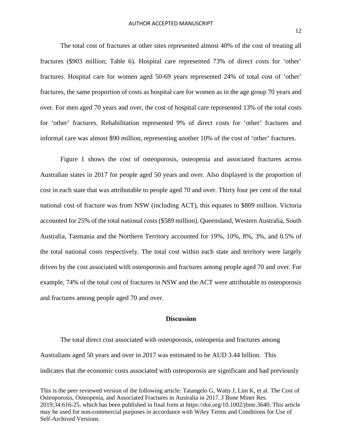The total cost of fractures at other sites represented almost 40% of the cost of treating all fractures (\$903 million; Table 6). Hospital care represented 73% of direct costs for 'other' fractures. Hospital care for women aged 50-69 years represented 24% of total cost of 'other' fractures, the same proportion of costs as hospital care for women as in the age group 70 years and over. For men aged 70 years and over, the cost of hospital care represented 13% of the total costs for 'other' fractures. Rehabilitation represented 9% of direct costs for 'other' fractures and informal care was almost \$90 million, representing another 10% of the cost of 'other' fractures.

Figure 1 shows the cost of osteoporosis, osteopenia and associated fractures across Australian states in 2017 for people aged 50 years and over. Also displayed is the proportion of cost in each state that was attributable to people aged 70 and over. Thirty four per cent of the total national cost of fracture was from NSW (including ACT), this equates to \$809 million. Victoria accounted for 25% of the total national costs (\$589 million). Queensland, Western Australia, South Australia, Tasmania and the Northern Territory accounted for 19%, 10%, 8%, 3%, and 0.5% of the total national costs respectively. The total cost within each state and territory were largely driven by the cost associated with osteoporosis and fractures among people aged 70 and over. For example, 74% of the total cost of fractures in NSW and the ACT were attributable to osteoporosis and fractures among people aged 70 and over.

#### **Discussion**

The total direct cost associated with osteoporosis, osteopenia and fractures among Australians aged 50 years and over in 2017 was estimated to be AUD 3.44 billion. This indicates that the economic costs associated with osteoporosis are significant and had previously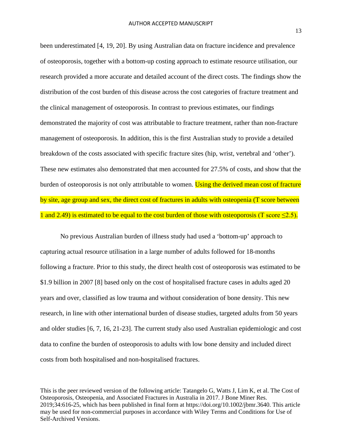been underestimated [4, 19, 20]. By using Australian data on fracture incidence and prevalence of osteoporosis, together with a bottom-up costing approach to estimate resource utilisation, our research provided a more accurate and detailed account of the direct costs. The findings show the distribution of the cost burden of this disease across the cost categories of fracture treatment and the clinical management of osteoporosis. In contrast to previous estimates, our findings demonstrated the majority of cost was attributable to fracture treatment, rather than non-fracture management of osteoporosis. In addition, this is the first Australian study to provide a detailed breakdown of the costs associated with specific fracture sites (hip, wrist, vertebral and 'other'). These new estimates also demonstrated that men accounted for 27.5% of costs, and show that the burden of osteoporosis is not only attributable to women. Using the derived mean cost of fracture by site, age group and sex, the direct cost of fractures in adults with osteopenia (T score between 1 and 2.49) is estimated to be equal to the cost burden of those with osteoporosis (T score  $\leq 2.5$ ).

No previous Australian burden of illness study had used a 'bottom-up' approach to capturing actual resource utilisation in a large number of adults followed for 18-months following a fracture. Prior to this study, the direct health cost of osteoporosis was estimated to be \$1.9 billion in 2007 [8] based only on the cost of hospitalised fracture cases in adults aged 20 years and over, classified as low trauma and without consideration of bone density. This new research, in line with other international burden of disease studies, targeted adults from 50 years and older studies [6, 7, 16, 21-23]. The current study also used Australian epidemiologic and cost data to confine the burden of osteoporosis to adults with low bone density and included direct costs from both hospitalised and non-hospitalised fractures.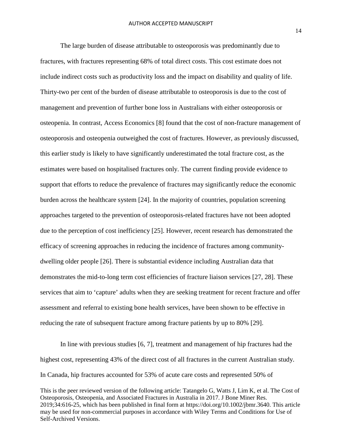The large burden of disease attributable to osteoporosis was predominantly due to fractures, with fractures representing 68% of total direct costs. This cost estimate does not include indirect costs such as productivity loss and the impact on disability and quality of life. Thirty-two per cent of the burden of disease attributable to osteoporosis is due to the cost of management and prevention of further bone loss in Australians with either osteoporosis or osteopenia. In contrast, Access Economics [8] found that the cost of non-fracture management of osteoporosis and osteopenia outweighed the cost of fractures. However, as previously discussed, this earlier study is likely to have significantly underestimated the total fracture cost, as the estimates were based on hospitalised fractures only. The current finding provide evidence to support that efforts to reduce the prevalence of fractures may significantly reduce the economic burden across the healthcare system [24]. In the majority of countries, population screening approaches targeted to the prevention of osteoporosis-related fractures have not been adopted due to the perception of cost inefficiency [25]. However, recent research has demonstrated the efficacy of screening approaches in reducing the incidence of fractures among communitydwelling older people [26]. There is substantial evidence including Australian data that demonstrates the mid-to-long term cost efficiencies of fracture liaison services [27, 28]. These services that aim to 'capture' adults when they are seeking treatment for recent fracture and offer assessment and referral to existing bone health services, have been shown to be effective in reducing the rate of subsequent fracture among fracture patients by up to 80% [29].

In line with previous studies [6, 7], treatment and management of hip fractures had the highest cost, representing 43% of the direct cost of all fractures in the current Australian study. In Canada, hip fractures accounted for 53% of acute care costs and represented 50% of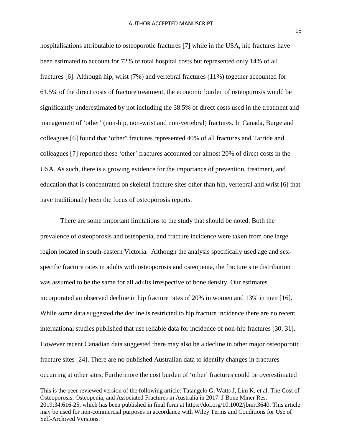hospitalisations attributable to osteoporotic fractures [7] while in the USA, hip fractures have been estimated to account for 72% of total hospital costs but represented only 14% of all fractures [6]. Although hip, wrist (7%) and vertebral fractures (11%) together accounted for 61.5% of the direct costs of fracture treatment, the economic burden of osteoporosis would be significantly underestimated by not including the 38.5% of direct costs used in the treatment and management of 'other' (non-hip, non-wrist and non-vertebral) fractures. In Canada, Burge and colleagues [6] found that 'other" fractures represented 40% of all fractures and Tarride and colleagues [7] reported these 'other' fractures accounted for almost 20% of direct costs in the USA. As such, there is a growing evidence for the importance of prevention, treatment, and education that is concentrated on skeletal fracture sites other than hip, vertebral and wrist [6] that have traditionally been the focus of osteoporosis reports.

There are some important limitations to the study that should be noted. Both the prevalence of osteoporosis and osteopenia, and fracture incidence were taken from one large region located in south-eastern Victoria. Although the analysis specifically used age and sexspecific fracture rates in adults with osteoporosis and osteopenia, the fracture site distribution was assumed to be the same for all adults irrespective of bone density. Our estimates incorporated an observed decline in hip fracture rates of 20% in women and 13% in men [16]. While some data suggested the decline is restricted to hip fracture incidence there are no recent international studies published that use reliable data for incidence of non-hip fractures [30, 31]. However recent Canadian data suggested there may also be a decline in other major osteoporotic fracture sites [24]. There are no published Australian data to identify changes in fractures occurring at other sites. Furthermore the cost burden of 'other' fractures could be overestimated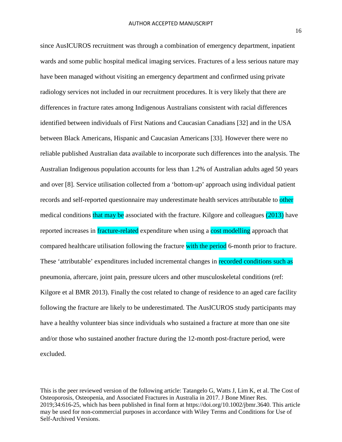since AusICUROS recruitment was through a combination of emergency department, inpatient wards and some public hospital medical imaging services. Fractures of a less serious nature may have been managed without visiting an emergency department and confirmed using private radiology services not included in our recruitment procedures. It is very likely that there are differences in fracture rates among Indigenous Australians consistent with racial differences identified between individuals of First Nations and Caucasian Canadians [32] and in the USA between Black Americans, Hispanic and Caucasian Americans [33]. However there were no reliable published Australian data available to incorporate such differences into the analysis. The Australian Indigenous population accounts for less than 1.2% of Australian adults aged 50 years and over [8]. Service utilisation collected from a 'bottom-up' approach using individual patient records and self-reported questionnaire may underestimate health services attributable to other medical conditions that may be associated with the fracture. Kilgore and colleagues (2013) have reported increases in fracture-related expenditure when using a cost modelling approach that compared healthcare utilisation following the fracture with the period 6-month prior to fracture. These 'attributable' expenditures included incremental changes in recorded conditions such as pneumonia, aftercare, joint pain, pressure ulcers and other musculoskeletal conditions (ref: Kilgore et al BMR 2013). Finally the cost related to change of residence to an aged care facility following the fracture are likely to be underestimated. The AusICUROS study participants may have a healthy volunteer bias since individuals who sustained a fracture at more than one site and/or those who sustained another fracture during the 12-month post-fracture period, were excluded.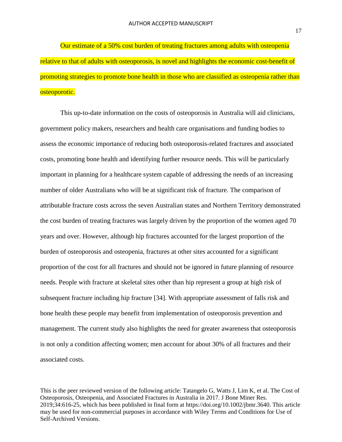Our estimate of a 50% cost burden of treating fractures among adults with osteopenia relative to that of adults with osteoporosis, is novel and highlights the economic cost-benefit of promoting strategies to promote bone health in those who are classified as osteopenia rather than osteoporotic.

This up-to-date information on the costs of osteoporosis in Australia will aid clinicians, government policy makers, researchers and health care organisations and funding bodies to assess the economic importance of reducing both osteoporosis-related fractures and associated costs, promoting bone health and identifying further resource needs. This will be particularly important in planning for a healthcare system capable of addressing the needs of an increasing number of older Australians who will be at significant risk of fracture. The comparison of attributable fracture costs across the seven Australian states and Northern Territory demonstrated the cost burden of treating fractures was largely driven by the proportion of the women aged 70 years and over. However, although hip fractures accounted for the largest proportion of the burden of osteoporosis and osteopenia, fractures at other sites accounted for a significant proportion of the cost for all fractures and should not be ignored in future planning of resource needs. People with fracture at skeletal sites other than hip represent a group at high risk of subsequent fracture including hip fracture [34]. With appropriate assessment of falls risk and bone health these people may benefit from implementation of osteoporosis prevention and management. The current study also highlights the need for greater awareness that osteoporosis is not only a condition affecting women; men account for about 30% of all fractures and their associated costs.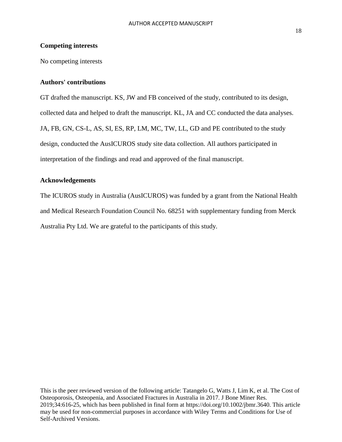# **Competing interests**

No competing interests

# **Authors' contributions**

GT drafted the manuscript. KS, JW and FB conceived of the study, contributed to its design, collected data and helped to draft the manuscript. KL, JA and CC conducted the data analyses. JA, FB, GN, CS-L, AS, SI, ES, RP, LM, MC, TW, LL, GD and PE contributed to the study design, conducted the AusICUROS study site data collection. All authors participated in interpretation of the findings and read and approved of the final manuscript.

# **Acknowledgements**

The ICUROS study in Australia (AusICUROS) was funded by a grant from the National Health and Medical Research Foundation Council No. 68251 with supplementary funding from Merck Australia Pty Ltd. We are grateful to the participants of this study.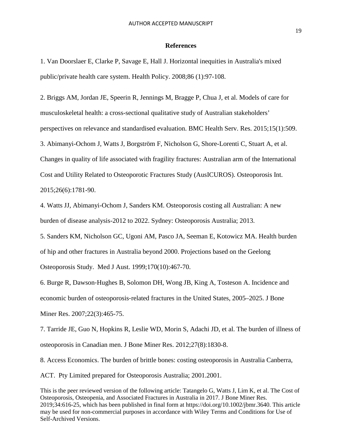#### **References**

1. Van Doorslaer E, Clarke P, Savage E, Hall J. Horizontal inequities in Australia's mixed public/private health care system. Health Policy. 2008;86 (1):97-108.

2. Briggs AM, Jordan JE, Speerin R, Jennings M, Bragge P, Chua J, et al. Models of care for musculoskeletal health: a cross-sectional qualitative study of Australian stakeholders' perspectives on relevance and standardised evaluation. BMC Health Serv. Res. 2015;15(1):509. 3. Abimanyi-Ochom J, Watts J, Borgström F, Nicholson G, Shore-Lorenti C, Stuart A, et al. Changes in quality of life associated with fragility fractures: Australian arm of the International Cost and Utility Related to Osteoporotic Fractures Study (AusICUROS). Osteoporosis Int. 2015;26(6):1781-90.

4. Watts JJ, Abimanyi-Ochom J, Sanders KM. Osteoporosis costing all Australian: A new burden of disease analysis-2012 to 2022. Sydney: Osteoporosis Australia; 2013.

5. Sanders KM, Nicholson GC, Ugoni AM, Pasco JA, Seeman E, Kotowicz MA. Health burden of hip and other fractures in Australia beyond 2000. Projections based on the Geelong Osteoporosis Study. Med J Aust. 1999;170(10):467-70.

6. Burge R, Dawson‐Hughes B, Solomon DH, Wong JB, King A, Tosteson A. Incidence and economic burden of osteoporosis‐related fractures in the United States, 2005–2025. J Bone Miner Res. 2007;22(3):465-75.

7. Tarride JE, Guo N, Hopkins R, Leslie WD, Morin S, Adachi JD, et al. The burden of illness of osteoporosis in Canadian men. J Bone Miner Res. 2012;27(8):1830-8.

8. Access Economics. The burden of brittle bones: costing osteoporosis in Australia Canberra,

ACT. Pty Limited prepared for Osteoporosis Australia; 2001.2001.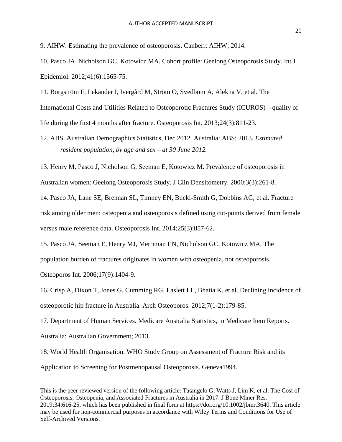9. AIHW. Estimating the prevalence of osteoporosis. Canberr: AIHW; 2014.

10. Pasco JA, Nicholson GC, Kotowicz MA. Cohort profile: Geelong Osteoporosis Study. Int J Epidemiol. 2012;41(6):1565-75.

11. Borgström F, Lekander I, Ivergård M, Ström O, Svedbom A, Alekna V, et al. The International Costs and Utilities Related to Osteoporotic Fractures Study (ICUROS)—quality of life during the first 4 months after fracture. Osteoporosis Int. 2013;24(3):811-23.

12. ABS. Australian Demographics Statistics, Dec 2012. Australia: ABS; 2013. *Estimated resident population, by age and sex – at 30 June 2012.*

13. Henry M, Pasco J, Nicholson G, Seeman E, Kotowicz M. Prevalence of osteoporosis in

Australian women: Geelong Osteoporosis Study. J Clin Densitometry. 2000;3(3):261-8.

14. Pasco JA, Lane SE, Brennan SL, Timney EN, Bucki-Smith G, Dobbins AG, et al. Fracture risk among older men: osteopenia and osteoporosis defined using cut-points derived from female versus male reference data. Osteoporosis Int. 2014;25(3):857-62.

15. Pasco JA, Seeman E, Henry MJ, Merriman EN, Nicholson GC, Kotowicz MA. The

population burden of fractures originates in women with osteopenia, not osteoporosis.

Osteoporos Int. 2006;17(9):1404-9.

16. Crisp A, Dixon T, Jones G, Cumming RG, Laslett LL, Bhatia K, et al. Declining incidence of osteoporotic hip fracture in Australia. Arch Osteoporos. 2012;7(1-2):179-85.

17. Department of Human Services. Medicare Australia Statistics, in Medicare Item Reports. Australia: Australian Government; 2013.

18. World Health Organisation. WHO Study Group on Assessment of Fracture Risk and its Application to Screening for Postmenopausal Osteoporosis. Geneva1994.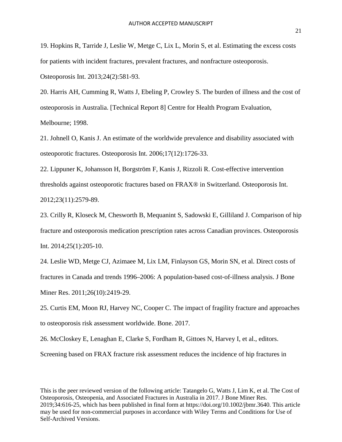19. Hopkins R, Tarride J, Leslie W, Metge C, Lix L, Morin S, et al. Estimating the excess costs for patients with incident fractures, prevalent fractures, and nonfracture osteoporosis. Osteoporosis Int. 2013;24(2):581-93.

20. Harris AH, Cumming R, Watts J, Ebeling P, Crowley S. The burden of illness and the cost of osteoporosis in Australia. [Technical Report 8] Centre for Health Program Evaluation, Melbourne; 1998.

21. Johnell O, Kanis J. An estimate of the worldwide prevalence and disability associated with osteoporotic fractures. Osteoporosis Int. 2006;17(12):1726-33.

22. Lippuner K, Johansson H, Borgström F, Kanis J, Rizzoli R. Cost-effective intervention thresholds against osteoporotic fractures based on FRAX® in Switzerland. Osteoporosis Int. 2012;23(11):2579-89.

23. Crilly R, Kloseck M, Chesworth B, Mequanint S, Sadowski E, Gilliland J. Comparison of hip fracture and osteoporosis medication prescription rates across Canadian provinces. Osteoporosis Int. 2014;25(1):205-10.

24. Leslie WD, Metge CJ, Azimaee M, Lix LM, Finlayson GS, Morin SN, et al. Direct costs of fractures in Canada and trends 1996–2006: A population-based cost-of-illness analysis. J Bone Miner Res. 2011;26(10):2419-29.

25. Curtis EM, Moon RJ, Harvey NC, Cooper C. The impact of fragility fracture and approaches to osteoporosis risk assessment worldwide. Bone. 2017.

26. McCloskey E, Lenaghan E, Clarke S, Fordham R, Gittoes N, Harvey I, et al., editors. Screening based on FRAX fracture risk assessment reduces the incidence of hip fractures in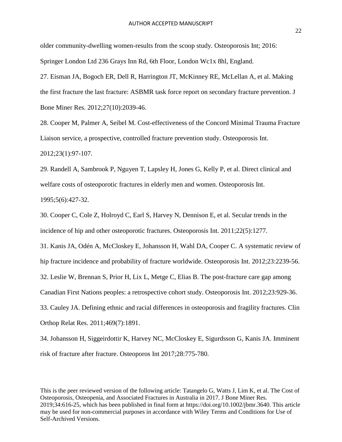older community-dwelling women-results from the scoop study. Osteoporosis Int; 2016: Springer London Ltd 236 Grays Inn Rd, 6th Floor, London Wc1x 8hl, England.

27. Eisman JA, Bogoch ER, Dell R, Harrington JT, McKinney RE, McLellan A, et al. Making the first fracture the last fracture: ASBMR task force report on secondary fracture prevention. J Bone Miner Res. 2012;27(10):2039-46.

28. Cooper M, Palmer A, Seibel M. Cost-effectiveness of the Concord Minimal Trauma Fracture Liaison service, a prospective, controlled fracture prevention study. Osteoporosis Int. 2012;23(1):97-107.

29. Randell A, Sambrook P, Nguyen T, Lapsley H, Jones G, Kelly P, et al. Direct clinical and welfare costs of osteoporotic fractures in elderly men and women. Osteoporosis Int. 1995;5(6):427-32.

30. Cooper C, Cole Z, Holroyd C, Earl S, Harvey N, Dennison E, et al. Secular trends in the incidence of hip and other osteoporotic fractures. Osteoporosis Int. 2011;22(5):1277.

31. Kanis JA, Odén A, McCloskey E, Johansson H, Wahl DA, Cooper C. A systematic review of hip fracture incidence and probability of fracture worldwide. Osteoporosis Int. 2012;23:2239-56. 32. Leslie W, Brennan S, Prior H, Lix L, Metge C, Elias B. The post-fracture care gap among Canadian First Nations peoples: a retrospective cohort study. Osteoporosis Int. 2012;23:929-36. 33. Cauley JA. Defining ethnic and racial differences in osteoporosis and fragility fractures. Clin Orthop Relat Res. 2011;469(7):1891.

34. Johansson H, Siggeirdottir K, Harvey NC, McCloskey E, Sigurdsson G, Kanis JA. Imminent risk of fracture after fracture. Osteoporos Int 2017;28:775-780.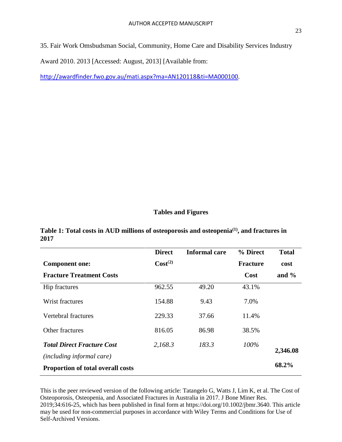35. Fair Work Omsbudsman Social, Community, Home Care and Disability Services Industry

Award 2010. 2013 [Accessed: August, 2013] [Available from:

[http://awardfinder.fwo.gov.au/mati.aspx?ma=AN120118&ti=MA000100.](http://awardfinder.fwo.gov.au/mati.aspx?ma=AN120118&ti=MA000100)

# **Tables and Figures**

**Table 1: Total costs in AUD millions of osteoporosis and osteopenia(1) , and fractures in 2017**

|                                          | <b>Direct</b>       | <b>Informal care</b> | % Direct        | <b>Total</b> |
|------------------------------------------|---------------------|----------------------|-----------------|--------------|
| <b>Component one:</b>                    | Cost <sup>(2)</sup> |                      | <b>Fracture</b> | cost         |
| <b>Fracture Treatment Costs</b>          |                     |                      | Cost            | and $\%$     |
| Hip fractures                            | 962.55              | 49.20                | 43.1%           |              |
| Wrist fractures                          | 154.88              | 9.43                 | 7.0%            |              |
| Vertebral fractures                      | 229.33              | 37.66                | 11.4%           |              |
| Other fractures                          | 816.05              | 86.98                | 38.5%           |              |
| <b>Total Direct Fracture Cost</b>        | 2,168.3             | 183.3                | 100%            | 2,346.08     |
| <i>(including informal care)</i>         |                     |                      |                 |              |
| <b>Proportion of total overall costs</b> |                     |                      |                 | 68.2%        |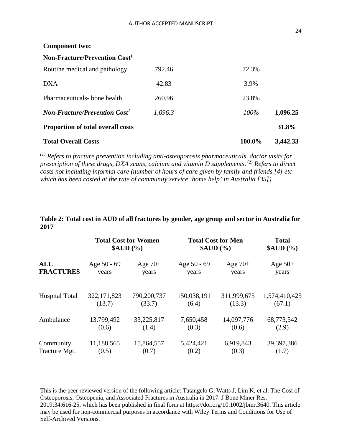| <b>Component two:</b>                            |         |        |          |
|--------------------------------------------------|---------|--------|----------|
| <b>Non-Fracture/Prevention Cost</b> <sup>1</sup> |         |        |          |
| Routine medical and pathology                    | 792.46  | 72.3%  |          |
| <b>DXA</b>                                       | 42.83   | 3.9%   |          |
| Pharmaceuticals- bone health                     | 260.96  | 23.8%  |          |
| <b>Non-Fracture/Prevention Cost</b> <sup>1</sup> | 1,096.3 | 100%   | 1,096.25 |
| <b>Proportion of total overall costs</b>         |         |        | 31.8%    |
| <b>Total Overall Costs</b>                       |         | 100.0% | 3,442.33 |

*(1) Refers to fracture prevention including anti-osteoporosis pharmaceuticals, doctor visits for prescription of these drugs, DXA scans, calcium and vitamin D supplements.* (**2)** *Refers to direct costs not including informal care (number of hours of care given by family and friends [4] etc which has been costed at the rate of community service 'home help' in Australia [35])*

|                       | <b>Total Cost for Women</b> |             | <b>Total Cost for Men</b> | <b>Total</b>     |               |
|-----------------------|-----------------------------|-------------|---------------------------|------------------|---------------|
|                       | $\Delta U D$ (%)            |             | $\Delta U D$ (%)          | $\Delta U D$ (%) |               |
| <b>ALL</b>            | Age 50 - 69                 | Age $70+$   | Age 50 - 69               | Age $70+$        | Age $50+$     |
| <b>FRACTURES</b>      | years                       | years       | years                     | years            | years         |
| <b>Hospital Total</b> | 322,171,823                 | 790,200,737 | 150,038,191               | 311,999,675      | 1,574,410,425 |
|                       | (13.7)                      | (33.7)      | (6.4)                     | (13.3)           | (67.1)        |
| Ambulance             | 13,799,492                  | 33,225,817  | 7,650,458                 | 14,097,776       | 68,773,542    |
|                       | (0.6)                       | (1.4)       | (0.3)                     | (0.6)            | (2.9)         |
| Community             | 11,188,565                  | 15,864,557  | 5,424,421                 | 6,919,843        | 39, 397, 386  |
| Fracture Mgt.         | (0.5)                       | (0.7)       | (0.2)                     | (0.3)            | (1.7)         |

**Table 2: Total cost in AUD of all fractures by gender, age group and sector in Australia for 2017**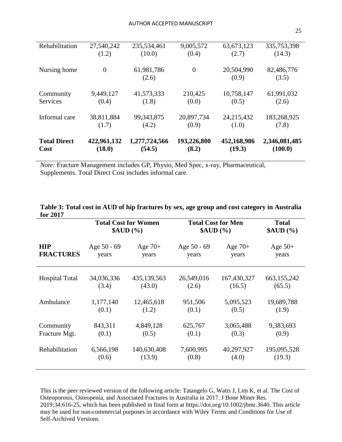| <b>Total Direct</b> | 422,961,132 | 1,277,724,566       | 193,226,800    | 452,168,986         | 2,346,081,485       |
|---------------------|-------------|---------------------|----------------|---------------------|---------------------|
| Cost                | (18.0)      | (54.5)              | (8.2)          | (19.3)              | (100.0)             |
| Informal care       | 38,811,884  | 99, 343, 875        | 20,897,734     | 24, 215, 432        | 183,268,925         |
|                     | (1.7)       | (4.2)               | (0.9)          | (1.0)               | (7.8)               |
| Community           | 9,449,127   | 41,573,333          | 210,425        | 10,758,147          | 61,991,032          |
| <b>Services</b>     | (0.4)       | (1.8)               | (0.0)          | (0.5)               | (2.6)               |
| Nursing home        | $\theta$    | 61,981,786<br>(2.6) | $\overline{0}$ | 20,504,990<br>(0.9) | 82,486,776<br>(3.5) |
| Rehabilitation      | 27,540,242  | 235,534,461         | 9,005,572      | 63, 673, 123        | 335,753,398         |
|                     | (1.2)       | (10.0)              | (0.4)          | (2.7)               | (14.3)              |

*Note:* Fracture Management includes GP, Physio, Med Spec, x-ray, Pharmaceutical, Supplements. Total Direct Cost includes informal care.

| 101 2017              |                             |             |                           |                  |             |
|-----------------------|-----------------------------|-------------|---------------------------|------------------|-------------|
|                       | <b>Total Cost for Women</b> |             | <b>Total Cost for Men</b> | <b>Total</b>     |             |
|                       | $\Delta U D$ (%)            |             | $\Delta U D$ (%)          | $\Delta U D$ (%) |             |
| <b>HIP</b>            | Age 50 - 69                 | Age $70+$   | Age 50 - 69               | Age $70+$        | Age $50+$   |
| <b>FRACTURES</b>      | years                       | years       | years                     | years            | years       |
| <b>Hospital Total</b> | 34,036,336                  | 435,139,563 | 26,549,016                | 167,430,327      | 663,155,242 |
|                       | (3.4)                       | (43.0)      | (2.6)                     | (16.5)           | (65.5)      |
| Ambulance             | 1,177,140                   | 12,465,618  | 951,506                   | 5,095,523        | 19,689,788  |
|                       | (0.1)                       | (1.2)       | (0.1)                     | (0.5)            | (1.9)       |
| Community             | 843,311                     | 4,849,128   | 625,767                   | 3,065,488        | 9,383,693   |
| Fracture Mgt.         | (0.1)                       | (0.5)       | (0.1)                     | (0.3)            | (0.9)       |
| Rehabilitation        | 6,566,198                   | 140,630,408 | 7,600,995                 | 40,297,927       | 195,095,528 |
|                       | (0.6)                       | (13.9)      | (0.8)                     | (4.0)            | (19.3)      |

**Table 3: Total cost in AUD of hip fractures by sex, age group and cost category in Australia for 2017**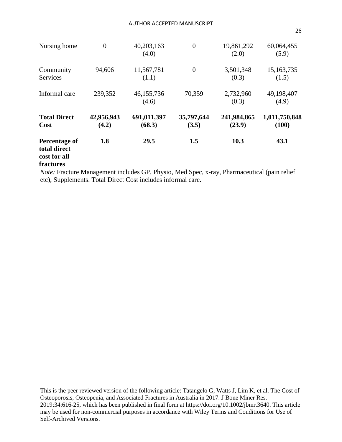| Nursing home                                               | $\theta$            | 40,203,163<br>(4.0)   | $\overline{0}$      | 19,861,292<br>(2.0)   | 60,064,455<br>(5.9)    |
|------------------------------------------------------------|---------------------|-----------------------|---------------------|-----------------------|------------------------|
| Community<br><b>Services</b>                               | 94,606              | 11,567,781<br>(1.1)   | $\overline{0}$      | 3,501,348<br>(0.3)    | 15,163,735<br>(1.5)    |
| Informal care                                              | 239,352             | 46,155,736<br>(4.6)   | 70,359              | 2,732,960<br>(0.3)    | 49,198,407<br>(4.9)    |
| <b>Total Direct</b><br>Cost                                | 42,956,943<br>(4.2) | 691,011,397<br>(68.3) | 35,797,644<br>(3.5) | 241,984,865<br>(23.9) | 1,011,750,848<br>(100) |
| Percentage of<br>total direct<br>cost for all<br>fractures | 1.8                 | 29.5                  | 1.5                 | 10.3                  | 43.1                   |

*Note:* Fracture Management includes GP, Physio, Med Spec, x-ray, Pharmaceutical (pain relief etc), Supplements. Total Direct Cost includes informal care.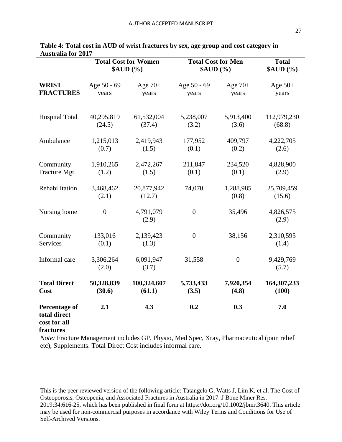|                                                                   |                      | <b>Total Cost for Women</b><br>$\Delta U D$ (%) | <b>Total Cost for Men</b><br>$\Delta U D$ (%) | <b>Total</b><br>\$AUD (%) |                       |  |
|-------------------------------------------------------------------|----------------------|-------------------------------------------------|-----------------------------------------------|---------------------------|-----------------------|--|
| <b>WRIST</b><br><b>FRACTURES</b>                                  | Age 50 - 69<br>years | Age $70+$<br>years                              | Age 50 - 69<br>years                          | Age $70+$<br>years        | Age $50+$<br>years    |  |
| <b>Hospital Total</b>                                             | 40,295,819<br>(24.5) | 61,532,004<br>(37.4)                            | 5,238,007<br>5,913,400<br>(3.2)<br>(3.6)      |                           | 112,979,230<br>(68.8) |  |
| Ambulance                                                         | 1,215,013<br>(0.7)   | 2,419,943<br>(1.5)                              | 177,952<br>(0.1)                              | 409,797<br>(0.2)          | 4,222,705<br>(2.6)    |  |
| Community<br>Fracture Mgt.                                        | 1,910,265<br>(1.2)   | 2,472,267<br>(1.5)                              | 211,847<br>(0.1)                              | 234,520<br>(0.1)          | 4,828,900<br>(2.9)    |  |
| Rehabilitation                                                    | 3,468,462<br>(2.1)   | 20,877,942<br>(12.7)                            | 74,070                                        | 1,288,985<br>(0.8)        | 25,709,459<br>(15.6)  |  |
| Nursing home                                                      | $\boldsymbol{0}$     | 4,791,079<br>(2.9)                              | $\boldsymbol{0}$                              | 35,496                    | 4,826,575<br>(2.9)    |  |
| Community<br><b>Services</b>                                      | 133,016<br>(0.1)     | 2,139,423<br>(1.3)                              | $\boldsymbol{0}$                              | 38,156                    |                       |  |
| Informal care                                                     | 3,306,264<br>(2.0)   | 6,091,947<br>(3.7)                              | 31,558                                        | $\overline{0}$            | 9,429,769<br>(5.7)    |  |
| <b>Total Direct</b><br>Cost                                       | 50,328,839<br>(30.6) | 100,324,607<br>(61.1)                           | 5,733,433<br>(3.5)                            | 7,920,354<br>(4.8)        | 164,307,233<br>(100)  |  |
| <b>Percentage of</b><br>total direct<br>cost for all<br>fractures | 2.1                  | 4.3                                             | 0.2                                           | 0.3                       | 7.0                   |  |

| Table 4: Total cost in AUD of wrist fractures by sex, age group and cost category in |  |  |
|--------------------------------------------------------------------------------------|--|--|
| <b>Australia for 2017</b>                                                            |  |  |

*Note:* Fracture Management includes GP, Physio, Med Spec, Xray, Pharmaceutical (pain relief etc), Supplements. Total Direct Cost includes informal care.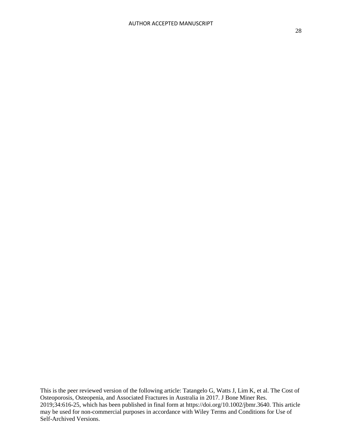28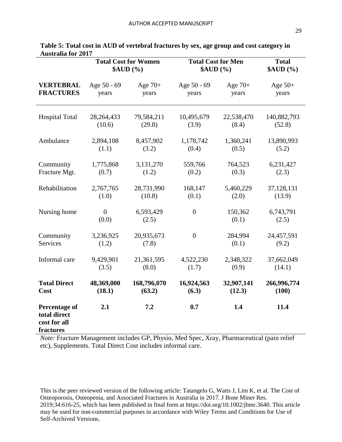|                                                                   |                           | <b>Total Cost for Women</b><br>$\Delta U D$ (%) | <b>Total Cost for Men</b>                   | $\Delta U D$ (%) | <b>Total</b><br>\$AUD (%) |
|-------------------------------------------------------------------|---------------------------|-------------------------------------------------|---------------------------------------------|------------------|---------------------------|
| <b>VERTEBRAL</b>                                                  | Age 50 - 69               | Age $70+$                                       | Age 50 - 69                                 | Age $70+$        | Age $50+$                 |
| <b>FRACTURES</b>                                                  | years                     | years                                           | years                                       | years            | years                     |
| <b>Hospital Total</b>                                             | 28, 264, 433              | 79,584,211                                      | 10,495,679                                  | 22,538,470       | 140,882,793               |
|                                                                   | (10.6)                    | (29.8)                                          | (3.9)                                       | (8.4)            | (52.8)                    |
| Ambulance                                                         | 2,894,108                 | 8,457,902                                       | 1,178,742                                   | 1,360,241        | 13,890,993                |
|                                                                   | (1.1)                     | (3.2)                                           | (0.4)                                       | (0.5)            | (5.2)                     |
| Community                                                         | 1,775,868                 | 3,131,270                                       | 559,766                                     | 764,523          | 6,231,427                 |
| Fracture Mgt.                                                     | (0.7)                     | (1.2)                                           | (0.2)                                       | (0.3)            | (2.3)                     |
| Rehabilitation                                                    | 2,767,765                 | 28,731,990                                      | 168,147                                     | 5,460,229        | 37,128,131                |
|                                                                   | (1.0)                     | (10.8)                                          | (0.1)                                       | (2.0)            | (13.9)                    |
| Nursing home                                                      | $\boldsymbol{0}$<br>(0.0) | 6,593,429<br>(2.5)                              | $\boldsymbol{0}$                            | 150,362<br>(0.1) | 6,743,791<br>(2.5)        |
| Community                                                         | 3,236,925                 | 20,935,673                                      | $\boldsymbol{0}$                            | 284,994          | 24,457,591                |
| <b>Services</b>                                                   | (1.2)                     | (7.8)                                           |                                             | (0.1)            | (9.2)                     |
| Informal care                                                     | 9,429,901                 | 21,361,595                                      | 4,522,230                                   | 2,348,322        | 37,662,049                |
|                                                                   | (3.5)                     | (8.0)                                           | (1.7)                                       | (0.9)            | (14.1)                    |
| <b>Total Direct</b><br>Cost                                       | 48,369,000<br>(18.1)      | 168,796,070<br>(63.2)                           | 16,924,563<br>32,907,141<br>(6.3)<br>(12.3) |                  | 266,996,774<br>(100)      |
| <b>Percentage of</b><br>total direct<br>cost for all<br>fractures | 2.1                       | 7.2                                             | 0.7                                         | 1.4              | 11.4                      |

|                           | Table 5: Total cost in AUD of vertebral fractures by sex, age group and cost category in |  |
|---------------------------|------------------------------------------------------------------------------------------|--|
| <b>Australia for 2017</b> |                                                                                          |  |

*Note:* Fracture Management includes GP, Physio, Med Spec, Xray, Pharmaceutical (pain relief etc), Supplements. Total Direct Cost includes informal care.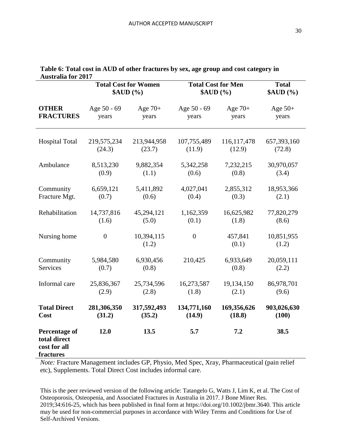|                                                                   |                       | <b>Total Cost for Women</b><br>$\Delta U D$ (%) |                                                | <b>Total Cost for Men</b><br>$\Delta U D$ (%) |                      |  |
|-------------------------------------------------------------------|-----------------------|-------------------------------------------------|------------------------------------------------|-----------------------------------------------|----------------------|--|
| <b>OTHER</b>                                                      | Age 50 - 69           | Age $70+$                                       | Age 50 - 69                                    | Age $70+$                                     | Age $50+$            |  |
| <b>FRACTURES</b>                                                  | years                 | years                                           | years                                          | years                                         | years                |  |
| <b>Hospital Total</b>                                             | 219,575,234           | 213,944,958                                     | 107,755,489                                    | 116, 117, 478                                 | 657,393,160          |  |
|                                                                   | (24.3)                | (23.7)                                          | (11.9)                                         | (12.9)                                        | (72.8)               |  |
| Ambulance                                                         | 8,513,230             | 9,882,354                                       | 5,342,258                                      | 7,232,215                                     | 30,970,057           |  |
|                                                                   | (0.9)                 | (1.1)                                           | (0.6)                                          | (0.8)                                         | (3.4)                |  |
| Community                                                         | 6,659,121             | 5,411,892                                       | 4,027,041                                      | 2,855,312                                     | 18,953,366           |  |
| Fracture Mgt.                                                     | (0.7)                 | (0.6)                                           | (0.4)                                          | (0.3)                                         | (2.1)                |  |
| Rehabilitation                                                    | 14,737,816            | 45,294,121                                      | 1,162,359                                      | 16,625,982                                    |                      |  |
|                                                                   | (1.6)                 | (5.0)                                           | (0.1)                                          | (1.8)                                         |                      |  |
| Nursing home                                                      | $\boldsymbol{0}$      | 10,394,115<br>(1.2)                             | $\boldsymbol{0}$                               | 457,841<br>(0.1)                              | 10,851,955<br>(1.2)  |  |
| Community                                                         | 5,984,580             | 6,930,456                                       | 210,425                                        | 6,933,649                                     | 20,059,111           |  |
| Services                                                          | (0.7)                 | (0.8)                                           |                                                | (0.8)                                         | (2.2)                |  |
| Informal care                                                     | 25,836,367            | 25,734,596                                      | 16,273,587                                     | 19,134,150                                    | 86,978,701           |  |
|                                                                   | (2.9)                 | (2.8)                                           | (1.8)                                          | (2.1)                                         | (9.6)                |  |
| <b>Total Direct</b><br>Cost                                       | 281,306,350<br>(31.2) | 317,592,493<br>(35.2)                           | 134,771,160<br>169,356,626<br>(14.9)<br>(18.8) |                                               | 903,026,630<br>(100) |  |
| <b>Percentage of</b><br>total direct<br>cost for all<br>fractures | 12.0                  | 13.5                                            | 5.7                                            | 7.2                                           | 38.5                 |  |

# **Table 6: Total cost in AUD of other fractures by sex, age group and cost category in Australia for 2017**

 $\overline{a}$ 

*Note:* Fracture Management includes GP, Physio, Med Spec, Xray, Pharmaceutical (pain relief etc), Supplements. Total Direct Cost includes informal care.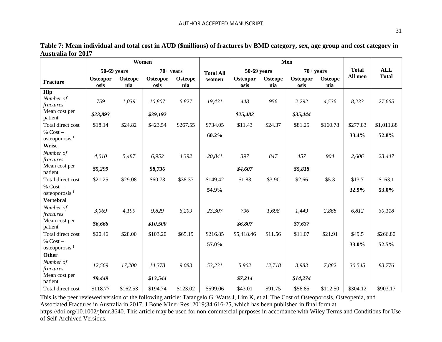#### AUTHOR ACCEPTED MANUSCRIPT

|                                           |                         |                       | Women                   |                       |                  | Men                     |                       |                         |                       |              |              |
|-------------------------------------------|-------------------------|-----------------------|-------------------------|-----------------------|------------------|-------------------------|-----------------------|-------------------------|-----------------------|--------------|--------------|
|                                           | 50-69 years             |                       | $70+ years$             |                       | <b>Total All</b> | 50-69 years             |                       | $70+ years$             |                       | <b>Total</b> | <b>ALL</b>   |
| Fracture                                  | <b>Osteopor</b><br>osis | <b>Osteope</b><br>nia | <b>Osteopor</b><br>osis | <b>Osteope</b><br>nia | women            | <b>Osteopor</b><br>osis | <b>Osteope</b><br>nia | <b>Osteopor</b><br>osis | <b>Osteope</b><br>nia | All men      | <b>Total</b> |
| Hip                                       |                         |                       |                         |                       |                  |                         |                       |                         |                       |              |              |
| Number of<br>fractures                    | 759                     | 1,039                 | 10,807                  | 6,827                 | 19,431           | 448                     | 956                   | 2,292                   | 4,536                 | 8,233        | 27,665       |
| Mean cost per<br>patient                  | \$23,893                |                       | \$39,192                |                       |                  | \$25,482                |                       | \$35,444                |                       |              |              |
| Total direct cost                         | \$18.14                 | \$24.82               | \$423.54                | \$267.55              | \$734.05         | \$11.43                 | \$24.37               | \$81.25                 | \$160.78              | \$277.83     | \$1,011.88   |
| % $Cost -$<br>osteoporosis <sup>1</sup>   |                         |                       |                         |                       | 60.2%            |                         |                       |                         |                       | 33.4%        | 52.8%        |
| Wrist                                     |                         |                       |                         |                       |                  |                         |                       |                         |                       |              |              |
| Number of<br>fractures                    | 4,010                   | 5,487                 | 6,952                   | 4,392                 | 20,841           | 397                     | 847                   | 457                     | 904                   | 2,606        | 23,447       |
| Mean cost per<br>patient                  | \$5,299                 |                       | \$8,736                 |                       |                  | \$4,607                 |                       | \$5,818                 |                       |              |              |
| Total direct cost                         | \$21.25                 | \$29.08               | \$60.73                 | \$38.37               | \$149.42         | \$1.83                  | \$3.90                | \$2.66                  | \$5.3                 | \$13.7       | \$163.1      |
| % $Cost -$<br>osteoporosis <sup>1</sup>   |                         |                       |                         |                       | 54.9%            |                         |                       |                         |                       | 32.9%        | 53.0%        |
| <b>Vertebral</b>                          |                         |                       |                         |                       |                  |                         |                       |                         |                       |              |              |
| Number of<br>fractures                    | 3,069                   | 4,199                 | 9,829                   | 6,209                 | 23,307           | 796                     | 1,698                 | 1,449                   | 2,868                 | 6,812        | 30,118       |
| Mean cost per<br>patient                  | \$6,666                 |                       | \$10,500                |                       |                  | \$6,807                 |                       | \$7,637                 |                       |              |              |
| Total direct cost                         | \$20.46                 | \$28.00               | \$103.20                | \$65.19               | \$216.85         | \$5,418.46              | \$11.56               | \$11.07                 | \$21.91               | \$49.5       | \$266.80     |
| % $Cost -$<br>$osteoporosis$ <sup>1</sup> |                         |                       |                         |                       | 57.0%            |                         |                       |                         |                       | 33.0%        | 52.5%        |
| <b>Other</b>                              |                         |                       |                         |                       |                  |                         |                       |                         |                       |              |              |
| Number of<br>fractures                    | 12,569                  | 17,200                | 14,378                  | 9,083                 | 53,231           | 5,962                   | 12,718                | 3,983                   | 7,882                 | 30,545       | 83,776       |
| Mean cost per<br>patient                  | \$9,449                 |                       | \$13,544                |                       |                  | \$7,214                 |                       | \$14,274                |                       |              |              |
| Total direct cost                         | \$118.77                | \$162.53              | \$194.74                | \$123.02              | \$599.06         | \$43.01                 | \$91.75               | \$56.85                 | \$112.50              | \$304.12     | \$903.17     |

**Table 7: Mean individual and total cost in AUD (\$millions) of fractures by BMD category, sex, age group and cost category in Australia for 2017**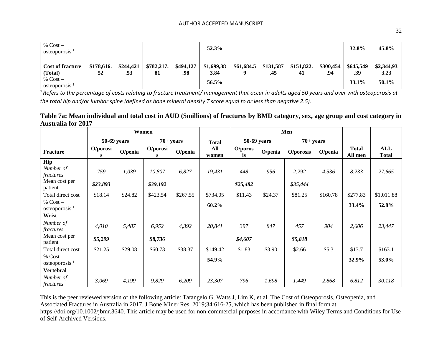| % $Cost -$<br>$osteoporosis$ <sup>1</sup> |                  |                  |                  |                  | 52.3%              |            |                  |                  |                  | 32.8%            | 45.8%              |
|-------------------------------------------|------------------|------------------|------------------|------------------|--------------------|------------|------------------|------------------|------------------|------------------|--------------------|
| <b>Cost of fracture</b><br>(Total)        | \$178,616.<br>52 | \$244,421<br>.53 | \$782,217.<br>81 | \$494,127<br>.98 | \$1,699,38<br>3.84 | \$61,684.5 | \$131,587<br>.45 | \$151,822.<br>41 | \$300,454<br>.94 | \$645,549<br>.39 | \$2,344,93<br>3.23 |
| % $Cost -$<br>osteoporosis <sup>1</sup>   |                  |                  |                  |                  | 56.5%              |            |                  |                  |                  | $33.1\%$         | 50.1%              |

<sup>1</sup> Refers to the percentage of costs relating to fracture treatment/ management that occur in adults aged 50 years and over with osteoporosis at *the total hip and/or lumbar spine (defined as bone mineral density T score equal to or less than negative 2.5).*

| Table 7a: Mean individual and total cost in AUD (\$millions) of fractures by BMD category, sex, age group and cost category in |  |  |
|--------------------------------------------------------------------------------------------------------------------------------|--|--|
| <b>Australia for 2017</b>                                                                                                      |  |  |

|                                           | Women         |         |               |          |              | Men                  |         |             |          |                         |                            |
|-------------------------------------------|---------------|---------|---------------|----------|--------------|----------------------|---------|-------------|----------|-------------------------|----------------------------|
|                                           | $50-69$ years |         | $70+ years$   |          | <b>Total</b> | 50-69 years          |         | $70+ years$ |          |                         |                            |
| Fracture                                  | O/porosi<br>s | O/penia | O/porosi<br>s | O/penia  | All<br>women | O/poros<br><i>is</i> | O/penia | O/porosis   | O/penia  | <b>Total</b><br>All men | <b>ALL</b><br><b>Total</b> |
| Hip                                       |               |         |               |          |              |                      |         |             |          |                         |                            |
| Number of<br>fractures                    | 759           | 1,039   | 10,807        | 6,827    | 19,431       | 448                  | 956     | 2,292       | 4,536    | 8,233                   | 27,665                     |
| Mean cost per<br>patient                  | \$23,893      |         | \$39,192      |          |              | \$25,482             |         | \$35,444    |          |                         |                            |
| Total direct cost                         | \$18.14       | \$24.82 | \$423.54      | \$267.55 | \$734.05     | \$11.43              | \$24.37 | \$81.25     | \$160.78 | \$277.83                | \$1,011.88                 |
| % $Cost -$<br>$osteoporosis$ <sup>1</sup> |               |         |               |          | 60.2%        |                      |         |             |          | 33.4%                   | 52.8%                      |
| Wrist                                     |               |         |               |          |              |                      |         |             |          |                         |                            |
| Number of<br>fractures                    | 4,010         | 5,487   | 6,952         | 4,392    | 20,841       | 397                  | 847     | 457         | 904      | 2,606                   | 23,447                     |
| Mean cost per<br>patient                  | \$5,299       |         | \$8,736       |          |              | \$4,607              |         | \$5,818     |          |                         |                            |
| Total direct cost                         | \$21.25       | \$29.08 | \$60.73       | \$38.37  | \$149.42     | \$1.83               | \$3.90  | \$2.66      | \$5.3    | \$13.7                  | \$163.1                    |
| % $Cost -$<br>osteoporosis <sup>1</sup>   |               |         |               |          | 54.9%        |                      |         |             |          | 32.9%                   | 53.0%                      |
| <b>Vertebral</b>                          |               |         |               |          |              |                      |         |             |          |                         |                            |
| Number of<br>fractures                    | 3,069         | 4,199   | 9,829         | 6,209    | 23,307       | 796                  | 1,698   | 1,449       | 2,868    | 6,812                   | 30,118                     |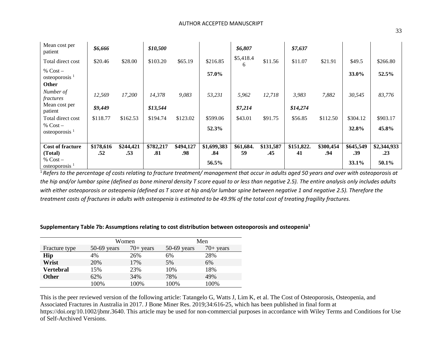| Mean cost per<br>patient                                  | \$6,666   |           | \$10,500  |           |             | \$6,807        |           | \$7,637    |           |           |             |
|-----------------------------------------------------------|-----------|-----------|-----------|-----------|-------------|----------------|-----------|------------|-----------|-----------|-------------|
| Total direct cost                                         | \$20.46   | \$28.00   | \$103.20  | \$65.19   | \$216.85    | \$5,418.4<br>6 | \$11.56   | \$11.07    | \$21.91   | \$49.5    | \$266.80    |
| % $Cost -$<br>$osteoporosis$ <sup>1</sup><br><b>Other</b> |           |           |           |           | 57.0%       |                |           |            |           | 33.0%     | 52.5%       |
| Number of<br>fractures                                    | 12,569    | 17,200    | 14,378    | 9,083     | 53,231      | 5,962          | 12,718    | 3,983      | 7,882     | 30,545    | 83,776      |
| Mean cost per<br>patient                                  | \$9,449   |           | \$13,544  |           |             | \$7,214        |           | \$14,274   |           |           |             |
| Total direct cost                                         | \$118.77  | \$162.53  | \$194.74  | \$123.02  | \$599.06    | \$43.01        | \$91.75   | \$56.85    | \$112.50  | \$304.12  | \$903.17    |
| $%$ Cost $-$<br>osteoporosis <sup>1</sup>                 |           |           |           |           | 52.3%       |                |           |            |           | 32.8%     | 45.8%       |
| <b>Cost of fracture</b>                                   | \$178,616 | \$244,421 | \$782,217 | \$494,127 | \$1,699,383 | \$61,684.      | \$131,587 | \$151,822. | \$300,454 | \$645,549 | \$2,344,933 |
| (Total)                                                   | .52       | .53       | .81       | .98       | .84         | 59             | .45       | 41         | .94       | .39       | .23         |
| % $Cost -$<br>$osteoporosis$ <sup>1</sup>                 |           |           |           |           | 56.5%       |                |           |            |           | 33.1%     | 50.1%       |

<sup>1</sup> Refers to the percentage of costs relating to fracture treatment/management that occur in adults aged 50 years and over with osteoporosis at *the hip and/or lumbar spine (defined as bone mineral density T score equal to or less than negative 2.5). The entire analysis only includes adults with either osteoporosis or osteopenia (defined as T score at hip and/or lumbar spine between negative 1 and negative 2.5). Therefore the treatment costs of fractures in adults with osteopenia is estimated to be 49.9% of the total cost of treating fragility fractures.*

#### **Supplementary Table 7b: Assumptions relating to cost distribution between osteoporosis and osteopenia1**

|                  |               | Women       | Men           |             |  |  |
|------------------|---------------|-------------|---------------|-------------|--|--|
| Fracture type    | $50-69$ years | $70+$ years | $50-69$ years | $70+$ years |  |  |
| Hip              | 4%            | 26%         | 6%            | 28%         |  |  |
| Wrist            | 20%           | 17%         | 5%            | 6%          |  |  |
| <b>Vertebral</b> | 15%           | 23%         | 10%           | 18%         |  |  |
| <b>Other</b>     | 62%           | 34%         | 78%           | 49%         |  |  |
|                  | 100%          | 100%        | 100%          | 100%        |  |  |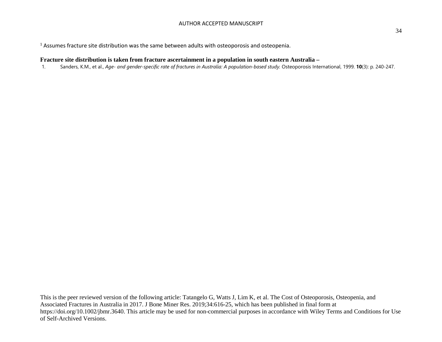#### AUTHOR ACCEPTED MANUSCRIPT

# **Fracture site distribution is taken from fracture ascertainment in a population in south eastern Australia –**

1. Sanders, K.M., et al., *Age- and gender-specific rate of fractures in Australia: A population-based study.* Osteoporosis International, 1999. **10**(3): p. 240-247.